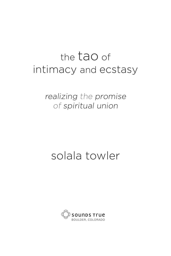# the tao of intimacy and ecstasy

realizing the promise of spiritual union

# solala towler

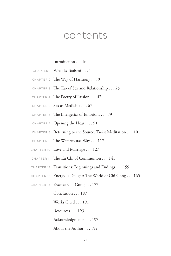### contents

#### Introduction . . . ix

- CHAPTER 1 What Is Taoism? . . . 1
- CHAPTER 2 The Way of Harmony . . . 9
- CHAPTER 3 The Tao of Sex and Relationship . . . 25
- CHAPTER 4 The Poetry of Passion . . . 47
- CHAPTER 5 Sex as Medicine . . . 67
- CHAPTER 6 The Energetics of Emotions . . . 79
- CHAPTER 7 Opening the Heart . . . 91
- CHAPTER 8 Returning to the Source: Taoist Meditation . . . 101
- CHAPTER 9 The Watercourse Way . . . 117
- CHAPTER 10 Love and Marriage . . . 127
- CHAPTER 11 The Tai Chi of Communion . . . 141
- CHAPTER 12 Transitions: Beginnings and Endings . . . 159
- CHAPTER 13 Energy Is Delight: The World of Chi Gong . . . 165
- CHAPTER 14 Essence Chi Gong . . . 177

Conclusion . . . 187

Works Cited . . . 191

Resources . . . 193

Acknowledgments . . . 197

About the Author . . . 199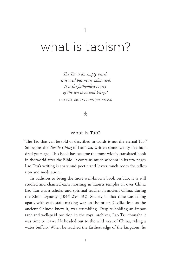## what is taoism?

*The Tao is an empty vessel; it is used but never exhausted. It is the fathomless source of the ten thousand beings!* LAO TZU, *TAO TE CHING (CHAPTER 4)*

### $\ddot{\mathcal{R}}$

#### What Is Tao?

"The Tao that can be told or described in words is not the eternal Tao." So begins the *Tao Te Ching* of Lao Tzu, written some twenty-five hundred years ago. This book has become the most widely translated book in the world after the Bible. It contains much wisdom in its few pages. Lao Tzu's writing is spare and poetic and leaves much room for reflection and meditation.

In addition to being the most well-known book on Tao, it is still studied and chanted each morning in Taoists temples all over China. Lao Tzu was a scholar and spiritual teacher in ancient China, during the Zhou Dynasty (1046–256 BC). Society in that time was falling apart, with each state making war on the other. Civilization, as the ancient Chinese knew it, was crumbling. Despite holding an important and well-paid position in the royal archives, Lao Tzu thought it was time to leave. He headed out to the wild west of China, riding a water buffalo. When he reached the farthest edge of the kingdom, he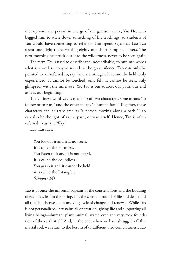met up with the person in charge of the garrison there, Yin He, who begged him to write down something of his teachings, so students of Tao would have something to refer to. The legend says that Lao Tzu spent one night there, writing eighty-one short, simple chapters. The next morning he struck out into the wilderness, never to be seen again.

The term *Tao* is used to describe the indescribable, to put into words what is wordless, to give sound to the great silence. Tao can only be pointed to, or referred to, say the ancient sages. It cannot be held, only experienced. It cannot be touched, only felt. It cannot be seen, only glimpsed, with the inner eye. Yet Tao is our source, our path, our end as it is our beginning.

The Chinese word *Tao* is made up of two characters. One means "to follow or to run," and the other means "a human face." Together, these characters can be translated as "a person moving along a path." Tao can also be thought of as the path, or way, itself. Hence, Tao is often referred to as "the Way."

Lao Tzu says:

You look at it and it is not seen, it is called the Formless. You listen to it and it is not heard, it is called the Soundless. You grasp it and it cannot be held, it is called the Intangible. *(Chapter 14)*

Tao is at once the universal pageant of the constellations and the budding of each new leaf in the spring. It is the constant round of life and death and all that falls between, an undying cycle of change and renewal. While Tao is not personalized, it sustains all of creation, giving life and supporting all living beings—human, plant, animal, water, even the very rock foundation of the earth itself. And, in the end, when we have shrugged off this mortal coil, we return to the bosom of undifferentiated consciousness, Tao.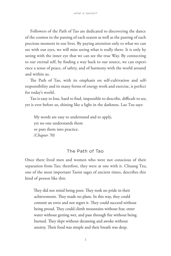Followers of the Path of Tao are dedicated to discovering the dance of the cosmos in the passing of each season as well as the passing of each precious moment in our lives. By paying attention only to what we can see with our eyes, we will miss seeing what is really there. It is only by seeing with the inner eye that we can see the true Way. By connecting to our eternal self, by finding a way back to our source, we can experience a sense of peace, of safety, and of harmony with the world around and within us.

The Path of Tao, with its emphasis on self-cultivation and selfresponsibility and its many forms of energy work and exercise, is perfect for today's world.

Tao is easy to lose, hard to find, impossible to describe, difficult to see, yet is ever before us, shining like a light in the darkness. Lao Tzu says:

My words are easy to understand and to apply, yet no one understands them or puts them into practice. *(Chapter 70)*

### The Path of Tao

Once there lived men and women who were not conscious of their separation from Tao; therefore, they were at one with it. Chuang Tzu, one of the most important Taoist sages of ancient times, describes this kind of person like this:

They did not mind being poor. They took no pride in their achievements. They made no plans. In this way, they could commit an error and not regret it. They could succeed without being proud. They could climb mountains without fear, enter water without getting wet, and pass through fire without being burned. They slept without dreaming and awoke without anxiety. Their food was simple and their breath was deep.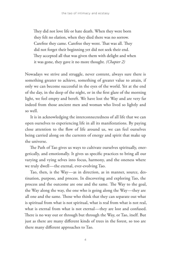They did not love life or hate death. When they were born they felt no elation, when they died there was no sorrow. Carefree they came. Carefree they went. That was all. They did not forget their beginning yet did not seek their end. They accepted all that was given them with delight and when it was gone, they gave it no more thought. *(Chapter 2)*

Nowadays we strive and struggle, never content, always sure there is something greater to achieve, something of greater value to attain, if only we can become successful in the eyes of the world. Yet at the end of the day, in the deep of the night, or in the first glare of the morning light, we feel empty and bereft. We have lost the Way and are very far indeed from those ancient men and woman who lived so lightly and so well.

It is in acknowledging the interconnectedness of all life that we can open ourselves to experiencing life in all its manifestations. By paying close attention to the flow of life around us, we can feel ourselves being carried along on the currents of energy and spirit that make up the universe.

The Path of Tao gives us ways to cultivate ourselves spiritually, energetically, and emotionally. It gives us specific practices to bring all our varying and vying selves into focus, harmony, and the oneness where we truly dwell—the eternal, ever-evolving Tao.

Tao, then, is the Way—as in direction, as in manner, source, destination, purpose, and process. In discovering and exploring Tao, the process and the outcome are one and the same. The Way to the goal, the Way along the way, the one who is going along the Way—they are all one and the same. Those who think that they can separate out what is spiritual from what is not spiritual, what is real from what is not real, what is eternal from what is not eternal—they are lost and confused. There is no way out or through but through the Way, or Tao, itself. But just as there are many different kinds of trees in the forest, so too are there many different approaches to Tao.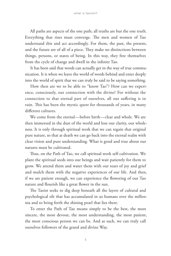All paths are aspects of the one path; all truths are but the one truth. Everything that rises must converge. The men and women of Tao understand this and act accordingly. For them, the past, the present, and the future are of all of a piece. They make no distinctions between things, persons, or states of being. In this way, they free themselves from the cycle of change and dwell in the infinite Tao.

It has been said that words can actually get in the way of true communication. It is when we leave the world of words behind and enter deeply into the world of spirit that we can truly be said to be saying something.

How then are we to be able to "know Tao"? How can we experience, consciously, our connection with the divine? For without the connection to that eternal part of ourselves, all our suffering is in vain. This has been the mystic quest for thousands of years, in many different cultures.

We come from the eternal—before birth—clear and whole. We are then immersed in the dust of the world and lose our clarity, our wholeness. It is only through spiritual work that we can regain that original pure nature, so that at death we can go back into the eternal realm with clear vision and pure understanding. What is good and true about our natures must be cultivated.

Thus, on the Path of Tao, we call spiritual work self-cultivation. We plant the spiritual seeds into our beings and wait patiently for them to grow. We attend them and water them with our tears of joy and grief and mulch them with the negative experiences of our life. And then, if we are patient enough, we can experience the flowering of our Tao nature and flourish like a great flower in the sun.

The Taoist seeks to dig deep beneath all the layers of cultural and psychological silt that has accumulated in us humans over the millennia and to bring forth the shining pearl that lies there.

To enter the Path of Tao means simply to be the best, the most sincere, the most devout, the most understanding, the most patient, the most conscious person we can be. And as such, we can truly call ourselves followers of the grand and divine Way.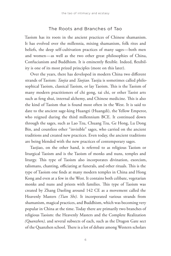### The Roots and Branches of Tao

Taoism has its roots in the ancient practices of Chinese shamanism. It has evolved over the millennia, mixing shamanism, folk rites and beliefs, the deep self-cultivation practices of many sages—both men and women—as well as the two other great philosophies of China, Confucianism and Buddhism. It is eminently flexible. Indeed, flexibility is one of its most prized principles (more on this later).

Over the years, there has developed in modern China two different strands of Taoism: *Taojia* and *Taojiao.* Taojia is sometimes called philosophical Taoism, classical Taoism, or lay Taoism. This is the Taoism of many modern practitioners of chi gong, tai chi, or other Taoist arts such as feng shui, internal alchemy, and Chinese medicine. This is also the kind of Taoism that is found most often in the West. It is said to date to the ancient sage-king Huangti (Huangdi), the Yellow Emperor, who reigned during the third millennium BCE. It continued down through the sages, such as Lao Tzu, Chuang Tzu, Ge Hong, Lu Dong Bin, and countless other "invisible" sages, who carried on the ancient traditions and created new practices. Even today, the ancient traditions are being blended with the new practices of contemporary sages.

Taojiao, on the other hand, is referred to as religious Taoism or liturgical Taoism and is the Taoism of monks and nuns, temples and liturgy. This type of Taoism also incorporates divination, exorcism, talismans, chanting, officiating at funerals, and other rituals. This is the type of Taoism one finds at many modern temples in China and Hong Kong and even at a few in the West. It contains both celibate, vegetarian monks and nuns and priests with families. This type of Taoism was created by Zhang Daoling around 142 CE as a movement called the Heavenly Masters *(Tian Shi).* It incorporated various strands from shamanism, magical practices, and Buddhism, which was becoming very popular in China at the time. Today there are primarily two branches of religious Taoism: the Heavenly Masters and the Complete Realization *(Quanzhen),* and several subsects of each, such as the Dragon Gate sect of the Quanzhen school. There is a lot of debate among Western scholars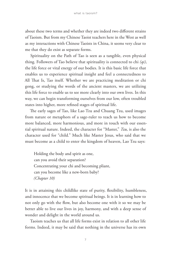about these two terms and whether they are indeed two different strains of Taoism. But from my Chinese Taoist teachers here in the West as well as my interactions with Chinese Taoists in China, it seems very clear to me that they do exist as separate forms.

Spirituality on the Path of Tao is seen as a tangible, even physical thing. Followers of Tao believe that spirituality is connected to chi *(qi),* the life force or vital energy of our bodies. It is this basic life force that enables us to experience spiritual insight and feel a connectedness to All That Is, Tao itself. Whether we are practicing meditation or chi gong, or studying the words of the ancient masters, we are utilizing this life force to enable us to see more clearly into our own lives. In this way, we can begin transforming ourselves from our low, often troubled states into higher, more refined stages of spiritual life.

The early sages of Tao, like Lao Tzu and Chuang Tzu, used images from nature or metaphors of a sage-ruler to teach us how to become more balanced, more harmonious, and more in touch with our essential spiritual nature. Indeed, the character for "Master," *Tzu,* is also the character used for "child." Much like Master Jesus, who said that we must become as a child to enter the kingdom of heaven, Lao Tzu says:

Holding the body and spirit as one, can you avoid their separation? Concentrating your chi and becoming pliant, can you become like a new-born baby? *(Chapter 10)*

It is in attaining this childlike state of purity, flexibility, humbleness, and innocence that we become spiritual beings. It is in learning how to not only go with the flow, but also become one with it so we may be better able to live our lives in joy, harmony, and with a deep sense of wonder and delight in the world around us.

Taoism teaches us that all life forms exist in relation to all other life forms. Indeed, it may be said that nothing in the universe has its own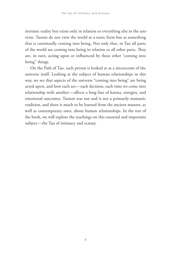intrinsic reality but exists only in relation to everything else in the universe. Taoists do not view the world as a static form but as something that is continually coming into being. Not only that, in Tao all parts of the world are coming into being in relation to all other parts. They are, in turn, acting upon or influenced by these other "coming into being" things.

On the Path of Tao, each person is looked at as a microcosm of the universe itself. Looking at the subject of human relationships in this way, we see that aspects of the universe "coming into being" are being acted upon, and how each act—each decision, each time we come into relationship with another—affects a long line of karma, energies, and emotional outcomes. Taoism was not and is not a primarily monastic tradition, and there is much to be learned from the ancient masters, as well as contemporary ones, about human relationships. In the rest of the book, we will explore the teachings on this essential and important subject—the Tao of intimacy and ecstasy.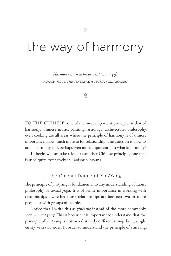# the way of harmony

*Harmony is an achievement, not a gift.* HUA-CHING NI, *THE GENTLE PATH OF SPIRITUAL PROGRESS*

 $\ddot{\mathbf{z}}$ 

TO THE CHINESE, one of the most important principles is that of harmony. Chinese music, painting, astrology, architecture, philosophy, even cooking are all areas where the principle of harmony is of utmost importance. How much more so for relationship! The question is, how to attain harmony and, perhaps even more important, just what is harmony?

To begin we can take a look at another Chinese principle, one that is used quite extensively in Taoism: yin/yang.

#### The Cosmic Dance of Yin/Yang

The principle of yin/yang is fundamental to any understanding of Taoist philosophy or sexual yoga. It is of prime importance in working with relationships—whether those relationships are between two or more people or with groups of people.

Notice that I write this as *yin/yang* instead of the more commonly seen *yin and yang.* This is because it is important to understand that the principle of yin/yang is not two distinctly different things but a single entity with two sides. In order to understand the principle of yin/yang,